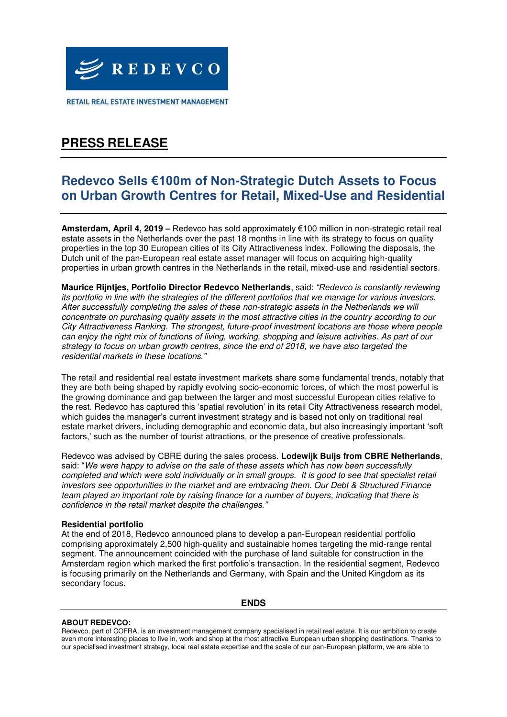

RETAIL REAL ESTATE INVESTMENT MANAGEMENT

# **PRESS RELEASE**

### **Redevco Sells €100m of Non-Strategic Dutch Assets to Focus on Urban Growth Centres for Retail, Mixed-Use and Residential**

**Amsterdam, April 4, 2019 –** Redevco has sold approximately €100 million in non-strategic retail real estate assets in the Netherlands over the past 18 months in line with its strategy to focus on quality properties in the top 30 European cities of its City Attractiveness index. Following the disposals, the Dutch unit of the pan-European real estate asset manager will focus on acquiring high-quality properties in urban growth centres in the Netherlands in the retail, mixed-use and residential sectors.

**Maurice Rijntjes, Portfolio Director Redevco Netherlands**, said: *"Redevco is constantly reviewing*  its portfolio in line with the strategies of the different portfolios that we manage for various investors. After successfully completing the sales of these non-strategic assets in the Netherlands we will concentrate on purchasing quality assets in the most attractive cities in the country according to our City Attractiveness Ranking. The strongest, future-proof investment locations are those where people can enjoy the right mix of functions of living, working, shopping and leisure activities. As part of our strategy to focus on urban growth centres, since the end of 2018, we have also targeted the residential markets in these locations*."*

The retail and residential real estate investment markets share some fundamental trends, notably that they are both being shaped by rapidly evolving socio-economic forces, of which the most powerful is the growing dominance and gap between the larger and most successful European cities relative to the rest. Redevco has captured this 'spatial revolution' in its retail City Attractiveness research model, which guides the manager's current investment strategy and is based not only on traditional real estate market drivers, including demographic and economic data, but also increasingly important 'soft factors,' such as the number of tourist attractions, or the presence of creative professionals.

Redevco was advised by CBRE during the sales process. **Lodewijk Buijs from CBRE Netherlands**, said: "We were happy to advise on the sale of these assets which has now been successfully completed and which were sold individually or in small groups. It is good to see that specialist retail investors see opportunities in the market and are embracing them. Our Debt & Structured Finance team played an important role by raising finance for a number of buyers, indicating that there is confidence in the retail market despite the challenges*."*

### **Residential portfolio**

At the end of 2018, Redevco announced plans to develop a pan-European residential portfolio comprising approximately 2,500 high-quality and sustainable homes targeting the mid-range rental segment. The announcement coincided with the purchase of land suitable for construction in the Amsterdam region which marked the first portfolio's transaction. In the residential segment, Redevco is focusing primarily on the Netherlands and Germany, with Spain and the United Kingdom as its secondary focus.

#### **ENDS**

#### **ABOUT REDEVCO:**

Redevco, part of COFRA, is an investment management company specialised in retail real estate. It is our ambition to create even more interesting places to live in, work and shop at the most attractive European urban shopping destinations. Thanks to our specialised investment strategy, local real estate expertise and the scale of our pan-European platform, we are able to